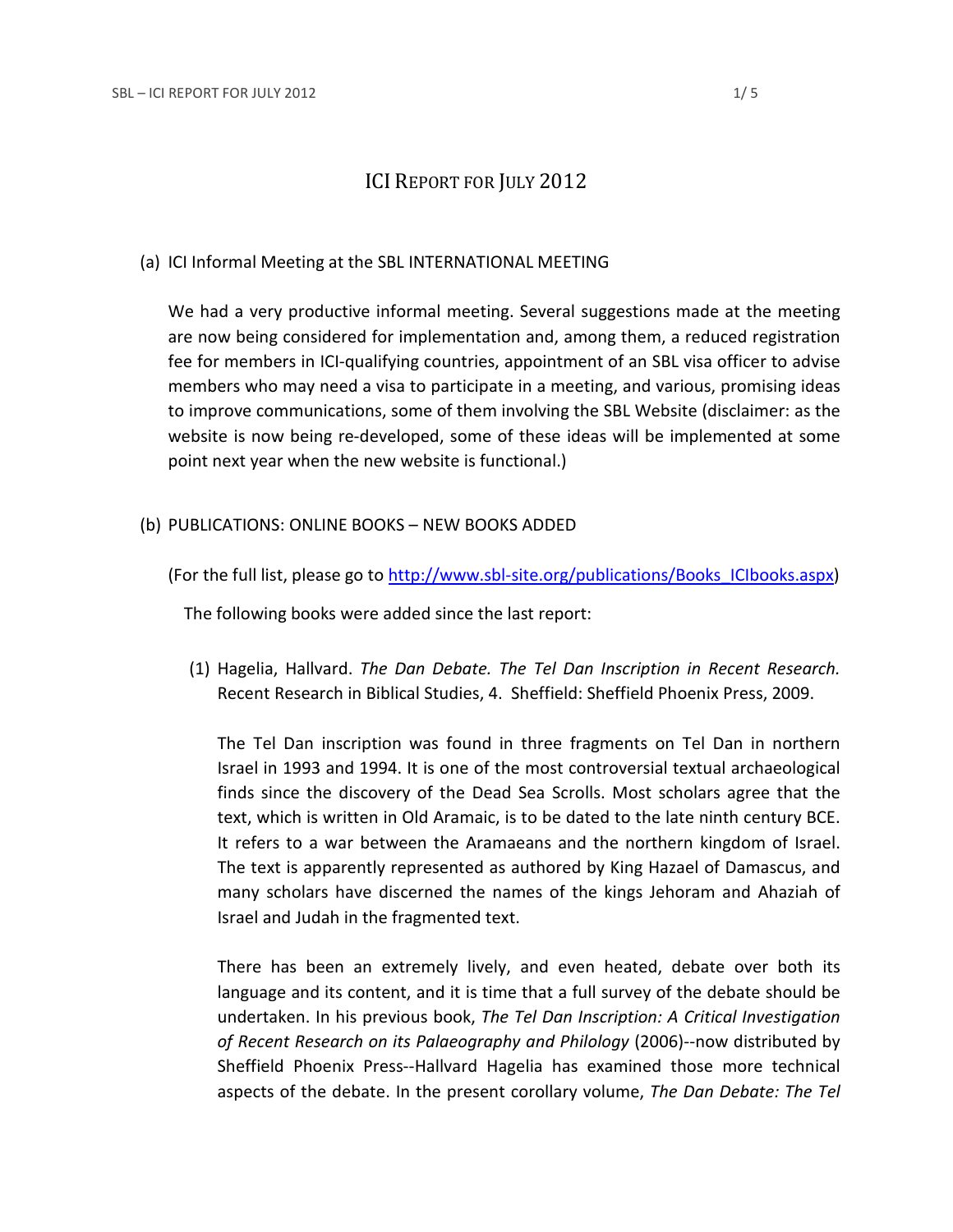# ICI REPORT FOR JULY 2012

## (a) ICI Informal Meeting at the SBL INTERNATIONAL MEETING

We had a very productive informal meeting. Several suggestions made at the meeting are now being considered for implementation and, among them, a reduced registration fee for members in ICI-qualifying countries, appointment of an SBL visa officer to advise members who may need a visa to participate in a meeting, and various, promising ideas to improve communications, some of them involving the SBL Website (disclaimer: as the website is now being re-developed, some of these ideas will be implemented at some point next year when the new website is functional.)

## (b) PUBLICATIONS: ONLINE BOOKS – NEW BOOKS ADDED

(For the full list, please go to [http://www.sbl-site.org/publications/Books\\_ICIbooks.aspx\)](http://www.sbl-site.org/publications/Books_ICIbooks.aspx)

The following books were added since the last report:

(1) Hagelia, Hallvard. *The Dan Debate. The Tel Dan Inscription in Recent Research.*  Recent Research in Biblical Studies, 4. Sheffield: Sheffield Phoenix Press, 2009.

The Tel Dan inscription was found in three fragments on Tel Dan in northern Israel in 1993 and 1994. It is one of the most controversial textual archaeological finds since the discovery of the Dead Sea Scrolls. Most scholars agree that the text, which is written in Old Aramaic, is to be dated to the late ninth century BCE. It refers to a war between the Aramaeans and the northern kingdom of Israel. The text is apparently represented as authored by King Hazael of Damascus, and many scholars have discerned the names of the kings Jehoram and Ahaziah of Israel and Judah in the fragmented text.

There has been an extremely lively, and even heated, debate over both its language and its content, and it is time that a full survey of the debate should be undertaken. In his previous book, *The Tel Dan Inscription: A Critical Investigation of Recent Research on its Palaeography and Philology* (2006)--now distributed by Sheffield Phoenix Press--Hallvard Hagelia has examined those more technical aspects of the debate. In the present corollary volume, *The Dan Debate: The Tel*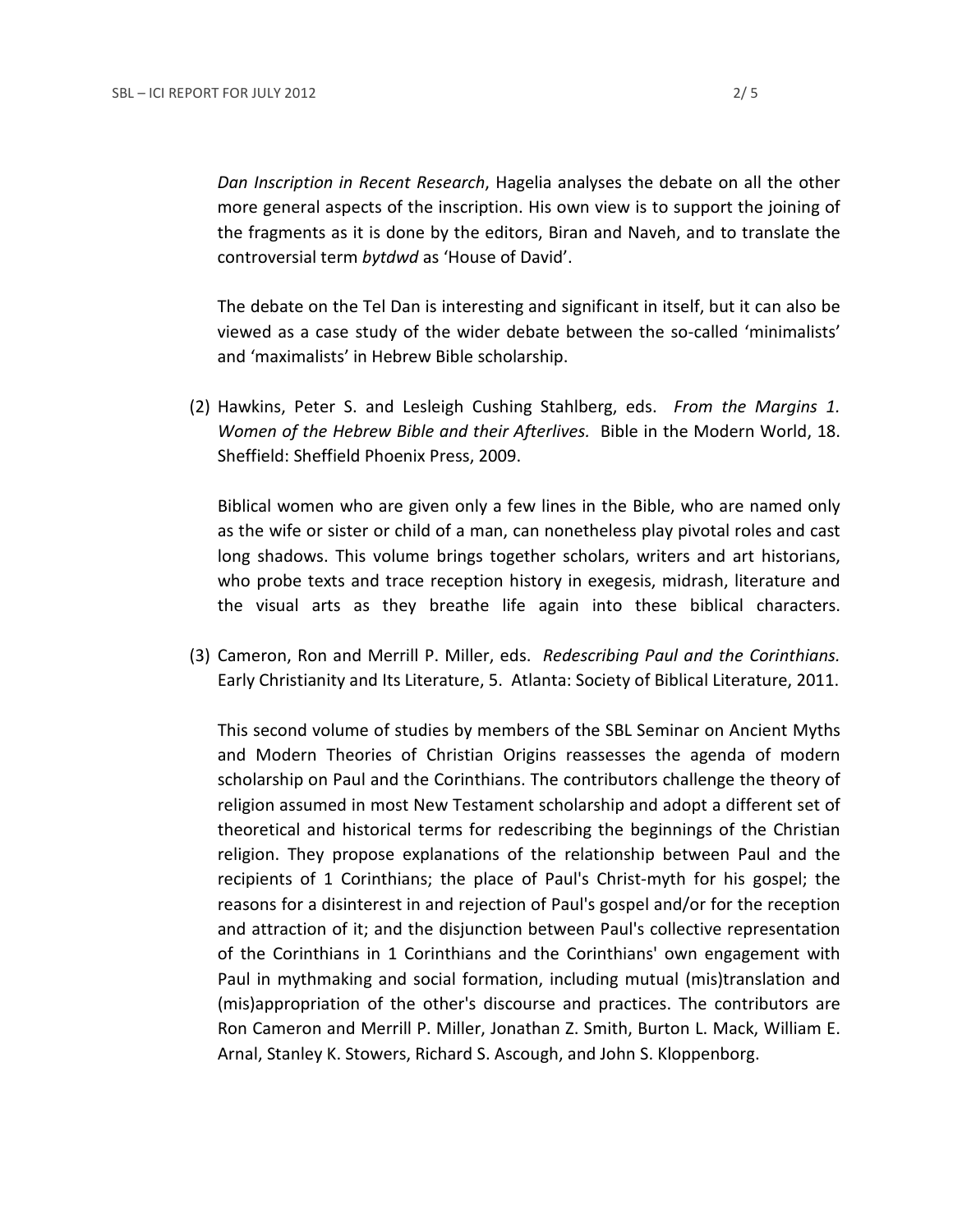*Dan Inscription in Recent Research*, Hagelia analyses the debate on all the other more general aspects of the inscription. His own view is to support the joining of the fragments as it is done by the editors, Biran and Naveh, and to translate the controversial term *bytdwd* as 'House of David'.

The debate on the Tel Dan is interesting and significant in itself, but it can also be viewed as a case study of the wider debate between the so-called 'minimalists' and 'maximalists' in Hebrew Bible scholarship.

(2) Hawkins, Peter S. and Lesleigh Cushing Stahlberg, eds. *From the Margins 1. Women of the Hebrew Bible and their Afterlives.* Bible in the Modern World, 18. Sheffield: Sheffield Phoenix Press, 2009.

Biblical women who are given only a few lines in the Bible, who are named only as the wife or sister or child of a man, can nonetheless play pivotal roles and cast long shadows. This volume brings together scholars, writers and art historians, who probe texts and trace reception history in exegesis, midrash, literature and the visual arts as they breathe life again into these biblical characters.

(3) Cameron, Ron and Merrill P. Miller, eds. *Redescribing Paul and the Corinthians.* Early Christianity and Its Literature, 5. Atlanta: Society of Biblical Literature, 2011.

This second volume of studies by members of the SBL Seminar on Ancient Myths and Modern Theories of Christian Origins reassesses the agenda of modern scholarship on Paul and the Corinthians. The contributors challenge the theory of religion assumed in most New Testament scholarship and adopt a different set of theoretical and historical terms for redescribing the beginnings of the Christian religion. They propose explanations of the relationship between Paul and the recipients of 1 Corinthians; the place of Paul's Christ-myth for his gospel; the reasons for a disinterest in and rejection of Paul's gospel and/or for the reception and attraction of it; and the disjunction between Paul's collective representation of the Corinthians in 1 Corinthians and the Corinthians' own engagement with Paul in mythmaking and social formation, including mutual (mis)translation and (mis)appropriation of the other's discourse and practices. The contributors are Ron Cameron and Merrill P. Miller, Jonathan Z. Smith, Burton L. Mack, William E. Arnal, Stanley K. Stowers, Richard S. Ascough, and John S. Kloppenborg.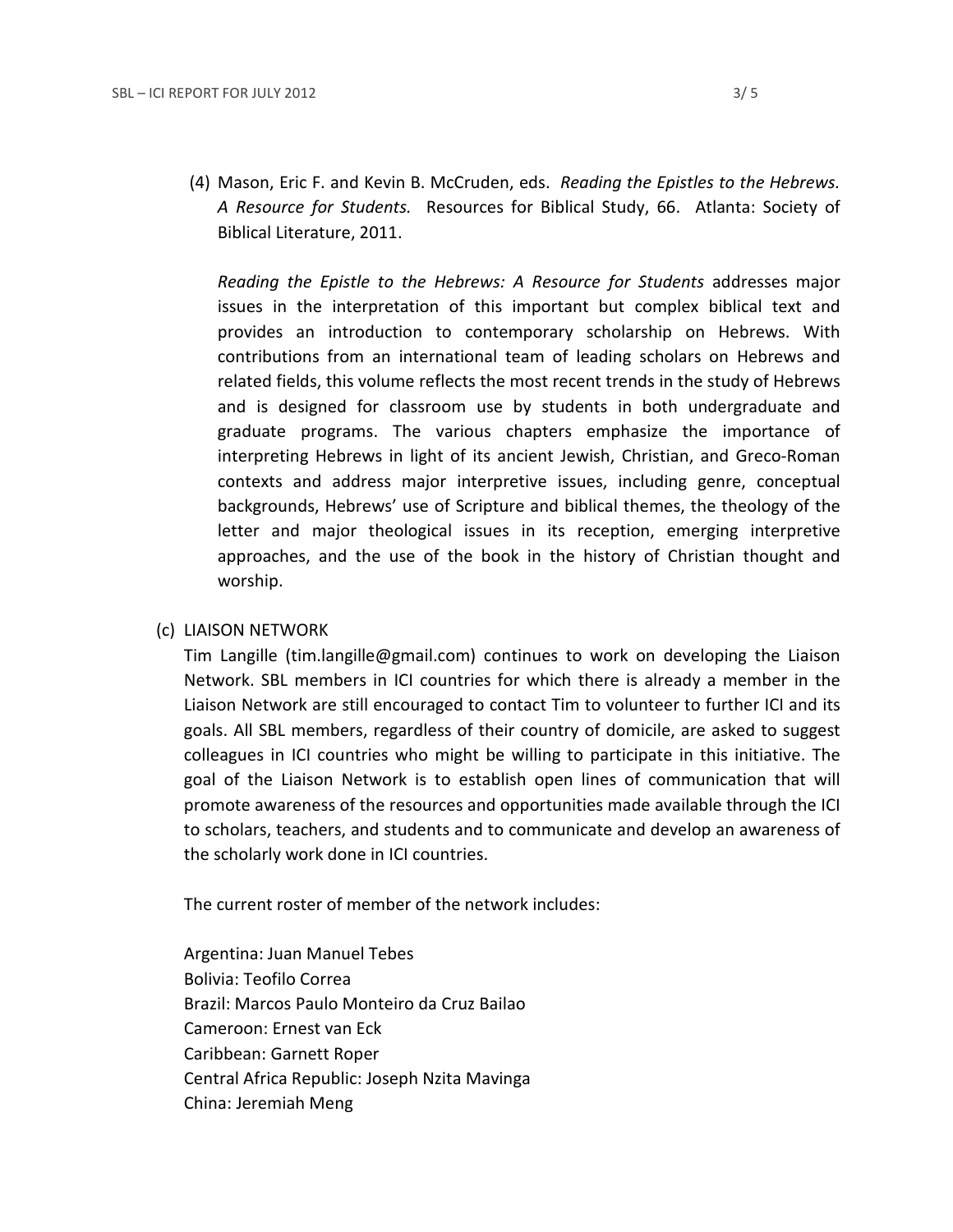(4) Mason, Eric F. and Kevin B. McCruden, eds. *Reading the Epistles to the Hebrews. A Resource for Students.* Resources for Biblical Study, 66. Atlanta: Society of Biblical Literature, 2011.

*Reading the Epistle to the Hebrews: A Resource for Students* addresses major issues in the interpretation of this important but complex biblical text and provides an introduction to contemporary scholarship on Hebrews. With contributions from an international team of leading scholars on Hebrews and related fields, this volume reflects the most recent trends in the study of Hebrews and is designed for classroom use by students in both undergraduate and graduate programs. The various chapters emphasize the importance of interpreting Hebrews in light of its ancient Jewish, Christian, and Greco-Roman contexts and address major interpretive issues, including genre, conceptual backgrounds, Hebrews' use of Scripture and biblical themes, the theology of the letter and major theological issues in its reception, emerging interpretive approaches, and the use of the book in the history of Christian thought and worship.

## (c) LIAISON NETWORK

Tim Langille (tim.langille@gmail.com) continues to work on developing the Liaison Network. SBL members in ICI countries for which there is already a member in the Liaison Network are still encouraged to contact Tim to volunteer to further ICI and its goals. All SBL members, regardless of their country of domicile, are asked to suggest colleagues in ICI countries who might be willing to participate in this initiative. The goal of the Liaison Network is to establish open lines of communication that will promote awareness of the resources and opportunities made available through the ICI to scholars, teachers, and students and to communicate and develop an awareness of the scholarly work done in ICI countries.

The current roster of member of the network includes:

Argentina: Juan Manuel Tebes Bolivia: Teofilo Correa Brazil: Marcos Paulo Monteiro da Cruz Bailao Cameroon: Ernest van Eck Caribbean: Garnett Roper Central Africa Republic: Joseph Nzita Mavinga China: Jeremiah Meng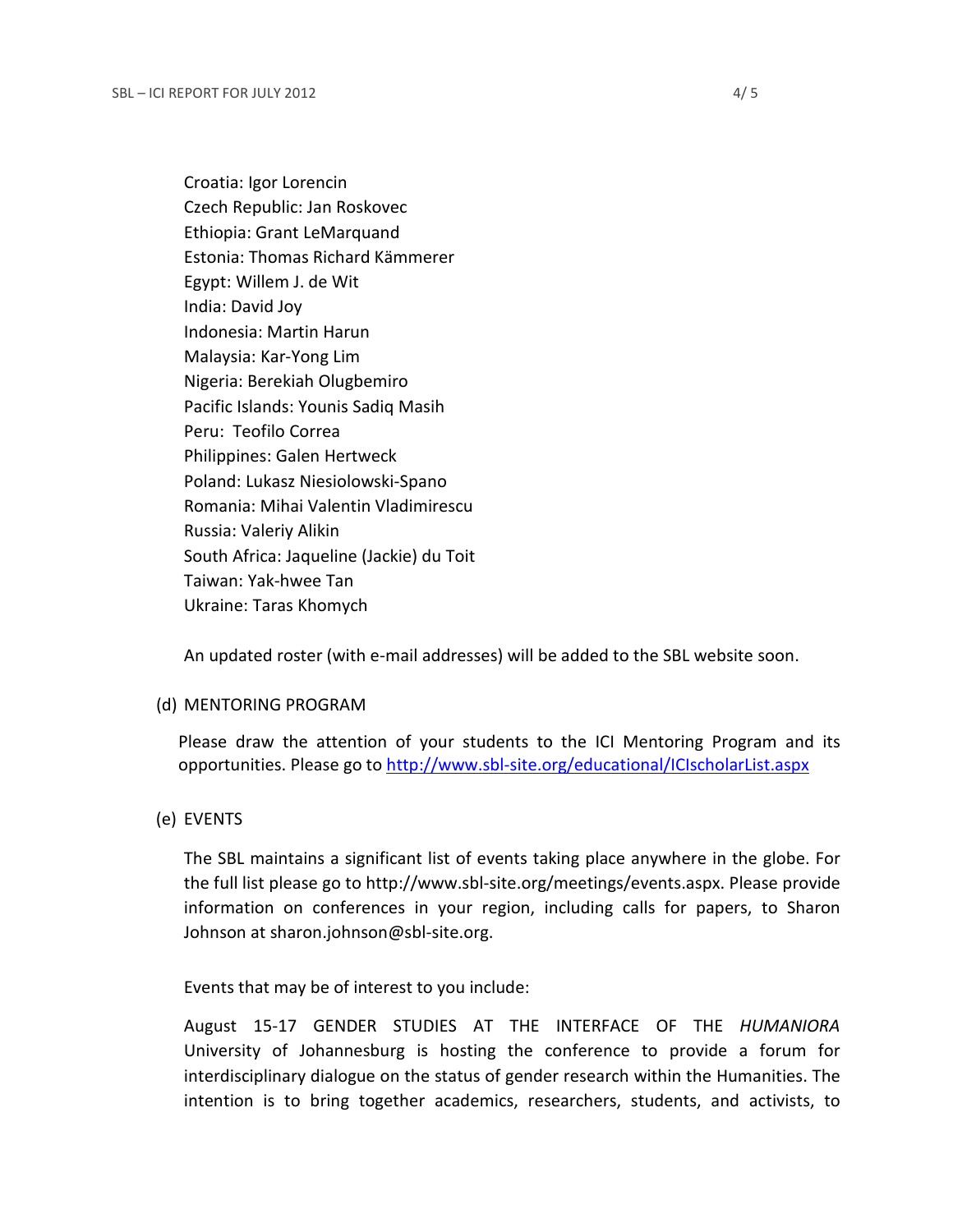Croatia: Igor Lorencin Czech Republic: Jan Roskovec Ethiopia: Grant LeMarquand Estonia: Thomas Richard Kämmerer Egypt: Willem J. de Wit India: David Joy Indonesia: Martin Harun Malaysia: Kar-Yong Lim Nigeria: Berekiah Olugbemiro Pacific Islands: Younis Sadiq Masih Peru: Teofilo Correa Philippines: Galen Hertweck Poland: Lukasz Niesiolowski-Spano Romania: Mihai Valentin Vladimirescu Russia: Valeriy Alikin South Africa: Jaqueline (Jackie) du Toit Taiwan: Yak-hwee Tan Ukraine: Taras Khomych

An updated roster (with e-mail addresses) will be added to the SBL website soon.

#### (d) MENTORING PROGRAM

Please draw the attention of your students to the ICI Mentoring Program and its opportunities. Please go to<http://www.sbl-site.org/educational/ICIscholarList.aspx>

#### (e) EVENTS

The SBL maintains a significant list of events taking place anywhere in the globe. For the full list please go to [http://www.sbl-site.org/meetings/events.aspx.](http://www.sbl-site.org/meetings/events.aspx) Please provide information on conferences in your region, including calls for papers, to Sharon Johnson at [sharon.johnson@sbl-site.org.](mailto:sharon.johnson@sbl-site.org)

Events that may be of interest to you include:

August 15-17 GENDER STUDIES AT THE INTERFACE OF THE *HUMANIORA* University of Johannesburg is hosting the conference to provide a forum for interdisciplinary dialogue on the status of gender research within the Humanities. The intention is to bring together academics, researchers, students, and activists, to